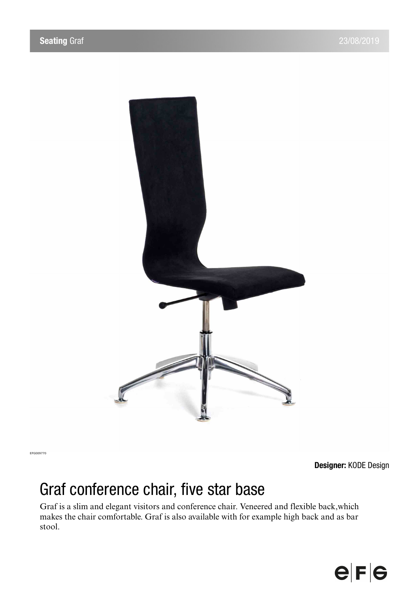

**Designer:** KODE Design

## Graf conference chair, five star base

Graf is a slim and elegant visitors and conference chair. Veneered and flexible back,which makes the chair comfortable. Graf is also available with for example high back and as bar stool.

## $e|F|e$